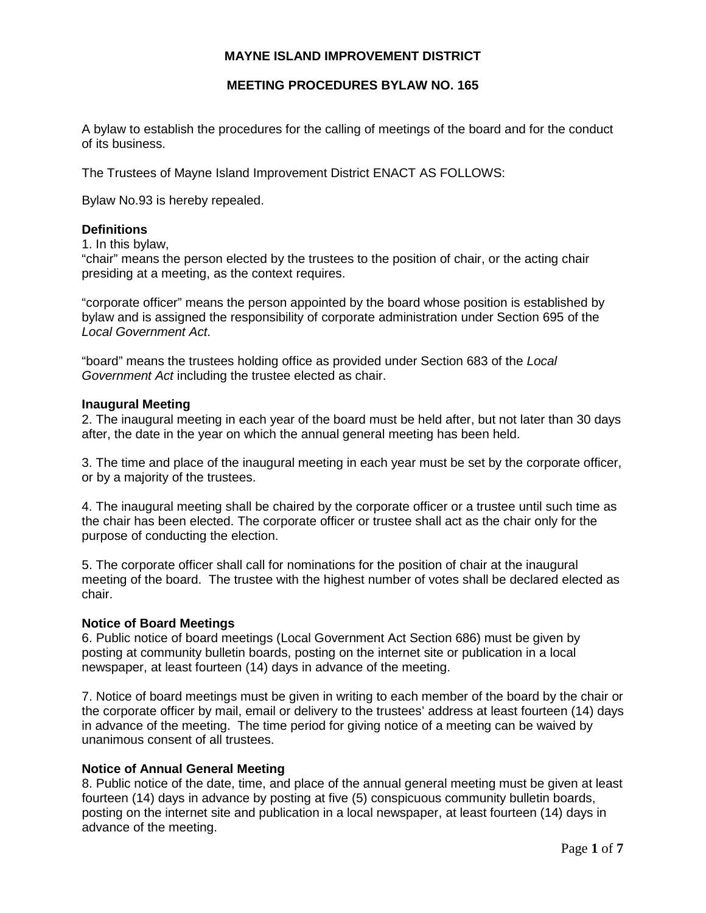# **MAYNE ISLAND IMPROVEMENT DISTRICT**

## **MEETING PROCEDURES BYLAW NO. 165**

A bylaw to establish the procedures for the calling of meetings of the board and for the conduct of its business.

The Trustees of Mayne Island Improvement District ENACT AS FOLLOWS:

Bylaw No.93 is hereby repealed.

### **Definitions**

1. In this bylaw,

"chair" means the person elected by the trustees to the position of chair, or the acting chair presiding at a meeting, as the context requires.

"corporate officer" means the person appointed by the board whose position is established by bylaw and is assigned the responsibility of corporate administration under Section 695 of the *Local Government Act*.

"board" means the trustees holding office as provided under Section 683 of the *Local Government Act* including the trustee elected as chair.

#### **Inaugural Meeting**

2. The inaugural meeting in each year of the board must be held after, but not later than 30 days after, the date in the year on which the annual general meeting has been held.

3. The time and place of the inaugural meeting in each year must be set by the corporate officer, or by a majority of the trustees.

4. The inaugural meeting shall be chaired by the corporate officer or a trustee until such time as the chair has been elected. The corporate officer or trustee shall act as the chair only for the purpose of conducting the election.

5. The corporate officer shall call for nominations for the position of chair at the inaugural meeting of the board. The trustee with the highest number of votes shall be declared elected as chair.

### **Notice of Board Meetings**

6. Public notice of board meetings (Local Government Act Section 686) must be given by posting at community bulletin boards, posting on the internet site or publication in a local newspaper, at least fourteen (14) days in advance of the meeting.

7. Notice of board meetings must be given in writing to each member of the board by the chair or the corporate officer by mail, email or delivery to the trustees' address at least fourteen (14) days in advance of the meeting. The time period for giving notice of a meeting can be waived by unanimous consent of all trustees.

### **Notice of Annual General Meeting**

8. Public notice of the date, time, and place of the annual general meeting must be given at least fourteen (14) days in advance by posting at five (5) conspicuous community bulletin boards, posting on the internet site and publication in a local newspaper, at least fourteen (14) days in advance of the meeting.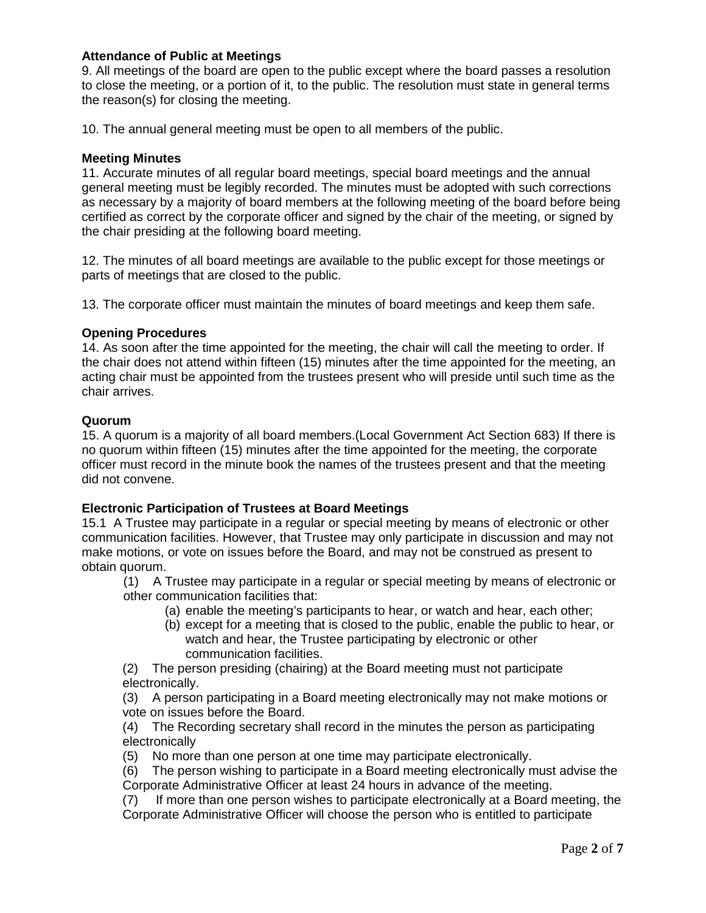## **Attendance of Public at Meetings**

9. All meetings of the board are open to the public except where the board passes a resolution to close the meeting, or a portion of it, to the public. The resolution must state in general terms the reason(s) for closing the meeting.

10. The annual general meeting must be open to all members of the public.

### **Meeting Minutes**

11. Accurate minutes of all regular board meetings, special board meetings and the annual general meeting must be legibly recorded. The minutes must be adopted with such corrections as necessary by a majority of board members at the following meeting of the board before being certified as correct by the corporate officer and signed by the chair of the meeting, or signed by the chair presiding at the following board meeting.

12. The minutes of all board meetings are available to the public except for those meetings or parts of meetings that are closed to the public.

13. The corporate officer must maintain the minutes of board meetings and keep them safe.

## **Opening Procedures**

14. As soon after the time appointed for the meeting, the chair will call the meeting to order. If the chair does not attend within fifteen (15) minutes after the time appointed for the meeting, an acting chair must be appointed from the trustees present who will preside until such time as the chair arrives.

### **Quorum**

15. A quorum is a majority of all board members.(Local Government Act Section 683) If there is no quorum within fifteen (15) minutes after the time appointed for the meeting, the corporate officer must record in the minute book the names of the trustees present and that the meeting did not convene.

# **Electronic Participation of Trustees at Board Meetings**

15.1 A Trustee may participate in a regular or special meeting by means of electronic or other communication facilities. However, that Trustee may only participate in discussion and may not make motions, or vote on issues before the Board, and may not be construed as present to obtain quorum.

(1) A Trustee may participate in a regular or special meeting by means of electronic or other communication facilities that:

- (a) enable the meeting's participants to hear, or watch and hear, each other;
- (b) except for a meeting that is closed to the public, enable the public to hear, or watch and hear, the Trustee participating by electronic or other communication facilities.

(2) The person presiding (chairing) at the Board meeting must not participate electronically.

(3) A person participating in a Board meeting electronically may not make motions or vote on issues before the Board.

(4) The Recording secretary shall record in the minutes the person as participating electronically

(5) No more than one person at one time may participate electronically.

(6) The person wishing to participate in a Board meeting electronically must advise the Corporate Administrative Officer at least 24 hours in advance of the meeting.

(7) If more than one person wishes to participate electronically at a Board meeting, the Corporate Administrative Officer will choose the person who is entitled to participate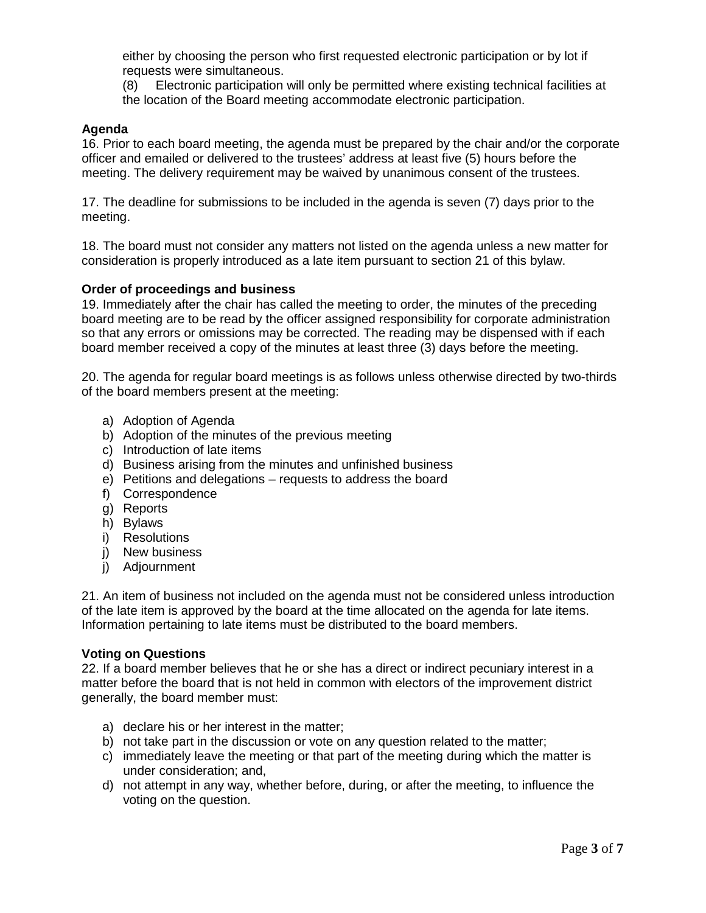either by choosing the person who first requested electronic participation or by lot if requests were simultaneous.

(8) Electronic participation will only be permitted where existing technical facilities at the location of the Board meeting accommodate electronic participation.

### **Agenda**

16. Prior to each board meeting, the agenda must be prepared by the chair and/or the corporate officer and emailed or delivered to the trustees' address at least five (5) hours before the meeting. The delivery requirement may be waived by unanimous consent of the trustees.

17. The deadline for submissions to be included in the agenda is seven (7) days prior to the meeting.

18. The board must not consider any matters not listed on the agenda unless a new matter for consideration is properly introduced as a late item pursuant to section 21 of this bylaw.

### **Order of proceedings and business**

19. Immediately after the chair has called the meeting to order, the minutes of the preceding board meeting are to be read by the officer assigned responsibility for corporate administration so that any errors or omissions may be corrected. The reading may be dispensed with if each board member received a copy of the minutes at least three (3) days before the meeting.

20. The agenda for regular board meetings is as follows unless otherwise directed by two-thirds of the board members present at the meeting:

- a) Adoption of Agenda
- b) Adoption of the minutes of the previous meeting
- c) Introduction of late items
- d) Business arising from the minutes and unfinished business
- e) Petitions and delegations requests to address the board
- f) Correspondence
- g) Reports
- h) Bylaws
- i) Resolutions
- j) New business
- j) Adjournment

21. An item of business not included on the agenda must not be considered unless introduction of the late item is approved by the board at the time allocated on the agenda for late items. Information pertaining to late items must be distributed to the board members.

### **Voting on Questions**

22. If a board member believes that he or she has a direct or indirect pecuniary interest in a matter before the board that is not held in common with electors of the improvement district generally, the board member must:

- a) declare his or her interest in the matter;
- b) not take part in the discussion or vote on any question related to the matter;
- c) immediately leave the meeting or that part of the meeting during which the matter is under consideration; and,
- d) not attempt in any way, whether before, during, or after the meeting, to influence the voting on the question.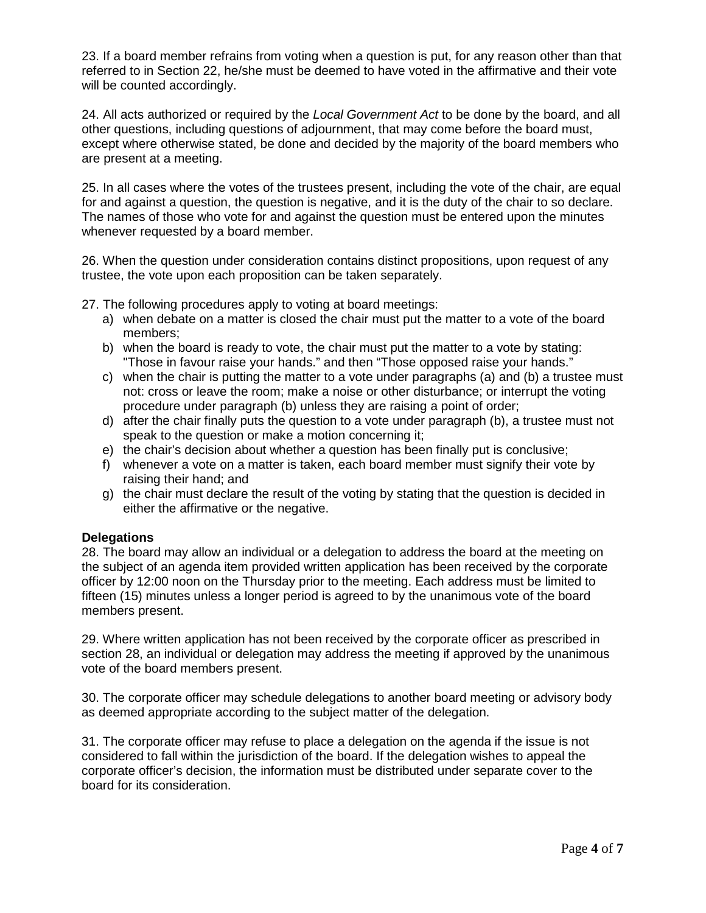23. If a board member refrains from voting when a question is put, for any reason other than that referred to in Section 22, he/she must be deemed to have voted in the affirmative and their vote will be counted accordingly.

24. All acts authorized or required by the *Local Government Act* to be done by the board, and all other questions, including questions of adjournment, that may come before the board must, except where otherwise stated, be done and decided by the majority of the board members who are present at a meeting.

25. In all cases where the votes of the trustees present, including the vote of the chair, are equal for and against a question, the question is negative, and it is the duty of the chair to so declare. The names of those who vote for and against the question must be entered upon the minutes whenever requested by a board member.

26. When the question under consideration contains distinct propositions, upon request of any trustee, the vote upon each proposition can be taken separately.

27. The following procedures apply to voting at board meetings:

- a) when debate on a matter is closed the chair must put the matter to a vote of the board members;
- b) when the board is ready to vote, the chair must put the matter to a vote by stating: "Those in favour raise your hands." and then "Those opposed raise your hands."
- c) when the chair is putting the matter to a vote under paragraphs (a) and (b) a trustee must not: cross or leave the room; make a noise or other disturbance; or interrupt the voting procedure under paragraph (b) unless they are raising a point of order;
- d) after the chair finally puts the question to a vote under paragraph (b), a trustee must not speak to the question or make a motion concerning it;
- e) the chair's decision about whether a question has been finally put is conclusive;
- f) whenever a vote on a matter is taken, each board member must signify their vote by raising their hand; and
- g) the chair must declare the result of the voting by stating that the question is decided in either the affirmative or the negative.

# **Delegations**

28. The board may allow an individual or a delegation to address the board at the meeting on the subject of an agenda item provided written application has been received by the corporate officer by 12:00 noon on the Thursday prior to the meeting. Each address must be limited to fifteen (15) minutes unless a longer period is agreed to by the unanimous vote of the board members present.

29. Where written application has not been received by the corporate officer as prescribed in section 28, an individual or delegation may address the meeting if approved by the unanimous vote of the board members present.

30. The corporate officer may schedule delegations to another board meeting or advisory body as deemed appropriate according to the subject matter of the delegation.

31. The corporate officer may refuse to place a delegation on the agenda if the issue is not considered to fall within the jurisdiction of the board. If the delegation wishes to appeal the corporate officer's decision, the information must be distributed under separate cover to the board for its consideration.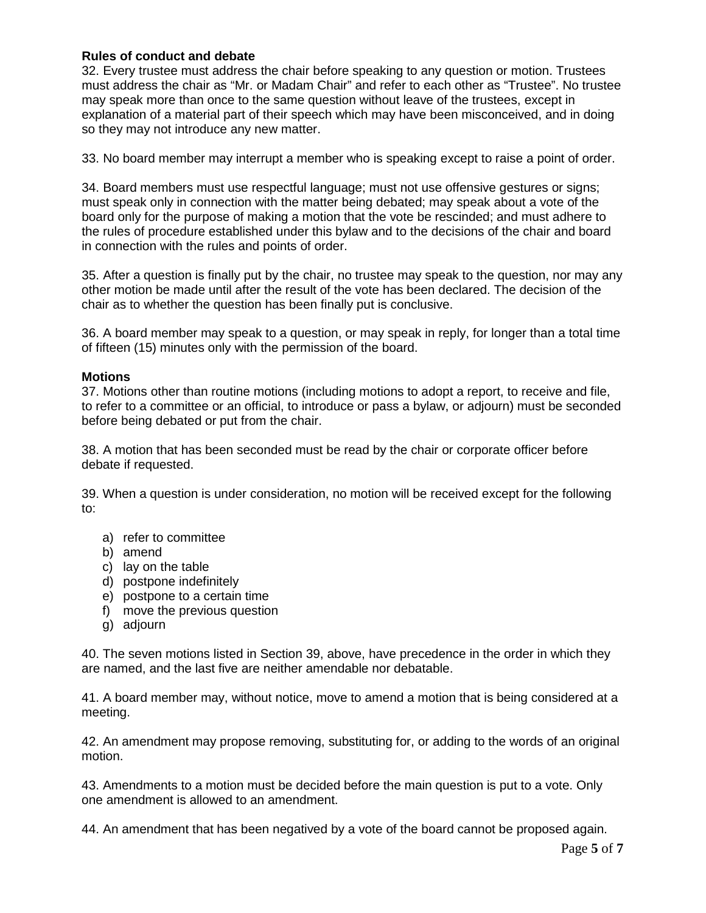# **Rules of conduct and debate**

32. Every trustee must address the chair before speaking to any question or motion. Trustees must address the chair as "Mr. or Madam Chair" and refer to each other as "Trustee". No trustee may speak more than once to the same question without leave of the trustees, except in explanation of a material part of their speech which may have been misconceived, and in doing so they may not introduce any new matter.

33. No board member may interrupt a member who is speaking except to raise a point of order.

34. Board members must use respectful language; must not use offensive gestures or signs; must speak only in connection with the matter being debated; may speak about a vote of the board only for the purpose of making a motion that the vote be rescinded; and must adhere to the rules of procedure established under this bylaw and to the decisions of the chair and board in connection with the rules and points of order.

35. After a question is finally put by the chair, no trustee may speak to the question, nor may any other motion be made until after the result of the vote has been declared. The decision of the chair as to whether the question has been finally put is conclusive.

36. A board member may speak to a question, or may speak in reply, for longer than a total time of fifteen (15) minutes only with the permission of the board.

### **Motions**

37. Motions other than routine motions (including motions to adopt a report, to receive and file, to refer to a committee or an official, to introduce or pass a bylaw, or adjourn) must be seconded before being debated or put from the chair.

38. A motion that has been seconded must be read by the chair or corporate officer before debate if requested.

39. When a question is under consideration, no motion will be received except for the following to:

- a) refer to committee
- b) amend
- c) lay on the table
- d) postpone indefinitely
- e) postpone to a certain time
- f) move the previous question
- g) adjourn

40. The seven motions listed in Section 39, above, have precedence in the order in which they are named, and the last five are neither amendable nor debatable.

41. A board member may, without notice, move to amend a motion that is being considered at a meeting.

42. An amendment may propose removing, substituting for, or adding to the words of an original motion.

43. Amendments to a motion must be decided before the main question is put to a vote. Only one amendment is allowed to an amendment.

44. An amendment that has been negatived by a vote of the board cannot be proposed again.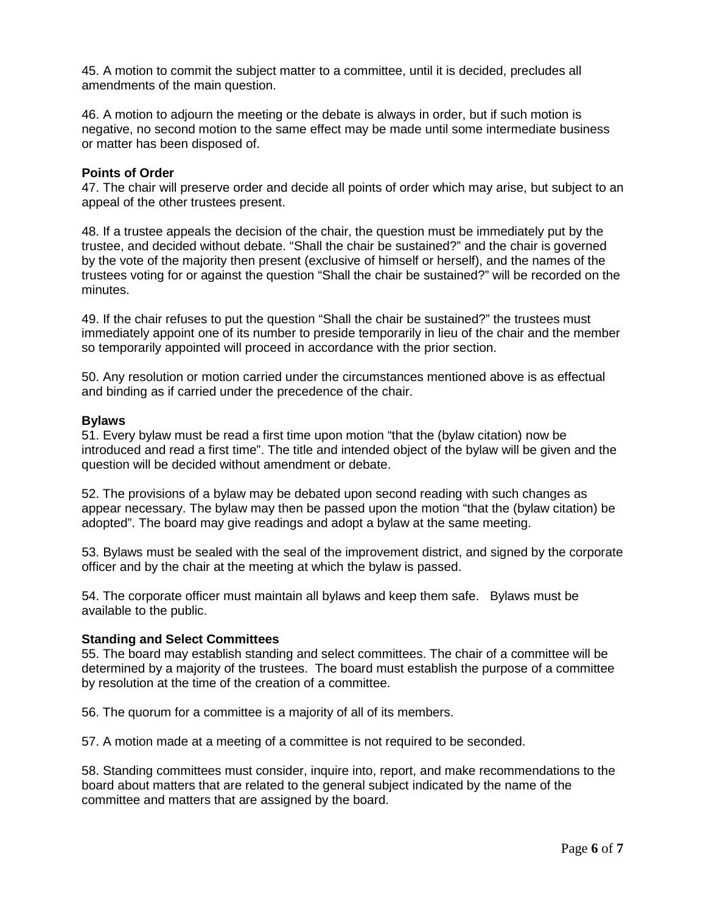45. A motion to commit the subject matter to a committee, until it is decided, precludes all amendments of the main question.

46. A motion to adjourn the meeting or the debate is always in order, but if such motion is negative, no second motion to the same effect may be made until some intermediate business or matter has been disposed of.

#### **Points of Order**

47. The chair will preserve order and decide all points of order which may arise, but subject to an appeal of the other trustees present.

48. If a trustee appeals the decision of the chair, the question must be immediately put by the trustee, and decided without debate. "Shall the chair be sustained?" and the chair is governed by the vote of the majority then present (exclusive of himself or herself), and the names of the trustees voting for or against the question "Shall the chair be sustained?" will be recorded on the minutes.

49. If the chair refuses to put the question "Shall the chair be sustained?" the trustees must immediately appoint one of its number to preside temporarily in lieu of the chair and the member so temporarily appointed will proceed in accordance with the prior section.

50. Any resolution or motion carried under the circumstances mentioned above is as effectual and binding as if carried under the precedence of the chair.

#### **Bylaws**

51. Every bylaw must be read a first time upon motion "that the (bylaw citation) now be introduced and read a first time". The title and intended object of the bylaw will be given and the question will be decided without amendment or debate.

52. The provisions of a bylaw may be debated upon second reading with such changes as appear necessary. The bylaw may then be passed upon the motion "that the (bylaw citation) be adopted". The board may give readings and adopt a bylaw at the same meeting.

53. Bylaws must be sealed with the seal of the improvement district, and signed by the corporate officer and by the chair at the meeting at which the bylaw is passed.

54. The corporate officer must maintain all bylaws and keep them safe. Bylaws must be available to the public.

### **Standing and Select Committees**

55. The board may establish standing and select committees. The chair of a committee will be determined by a majority of the trustees. The board must establish the purpose of a committee by resolution at the time of the creation of a committee.

56. The quorum for a committee is a majority of all of its members.

57. A motion made at a meeting of a committee is not required to be seconded.

58. Standing committees must consider, inquire into, report, and make recommendations to the board about matters that are related to the general subject indicated by the name of the committee and matters that are assigned by the board.